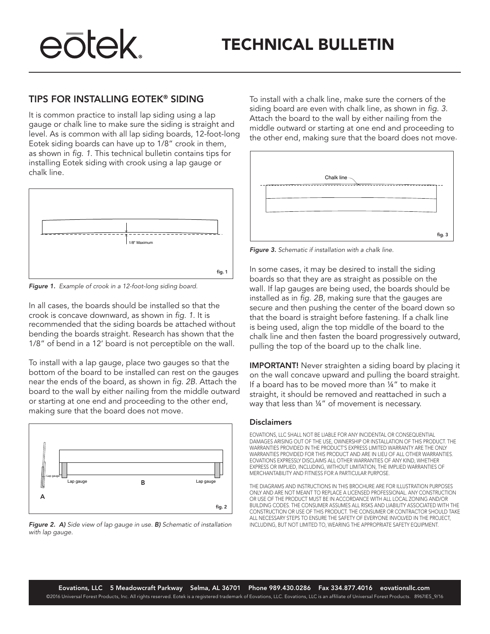# eōtek.

### TIPS FOR INSTALLING EOTEK® SIDING

It is common practice to install lap siding using a lap gauge or chalk line to make sure the siding is straight and level. As is common with all lap siding boards, 12-foot-long Eotek siding boards can have up to 1/8" crook in them, as shown in *fig. 1*. This technical bulletin contains tips for installing Eotek siding with crook using a lap gauge or chalk line.



*Figure 1. Example of crook in a 12-foot-long siding board.*

In all cases, the boards should be installed so that the crook is concave downward, as shown in *fig. 1*. It is recommended that the siding boards be attached without bending the boards straight. Research has shown that the 1/8" of bend in a 12' board is not perceptible on the wall.

To install with a lap gauge, place two gauges so that the bottom of the board to be installed can rest on the gauges near the ends of the board, as shown in *fig. 2B*. Attach the board to the wall by either nailing from the middle outward or starting at one end and proceeding to the other end, making sure that the board does not move.



*Figure 2. A) Side view of lap gauge in use. B) Schematic of installation with lap gauge.*

To install with a chalk line, make sure the corners of the siding board are even with chalk line, as shown in *fig. 3*. Attach the board to the wall by either nailing from the middle outward or starting at one end and proceeding to the other end, making sure that the board does not move.



*Figure 3. Schematic if installation with a chalk line.*

In some cases, it may be desired to install the siding boards so that they are as straight as possible on the wall. If lap gauges are being used, the boards should be installed as in *fig. 2B,* making sure that the gauges are secure and then pushing the center of the board down so that the board is straight before fastening. If a chalk line is being used, align the top middle of the board to the chalk line and then fasten the board progressively outward, pulling the top of the board up to the chalk line.

**IMPORTANT!** Never straighten a siding board by placing it on the wall concave upward and pulling the board straight. If a board has to be moved more than ¼" to make it straight, it should be removed and reattached in such a way that less than ¼" of movement is necessary.

#### **Disclaimers**

EOVATIONS, LLC SHALL NOT BE LIABLE FOR ANY INCIDENTAL OR CONSEQUENTIAL DAMAGES ARISING OUT OF THE USE, OWNERSHIP OR INSTALLATION OF THIS PRODUCT. THE WARRANTIES PROVIDED IN THE PRODUCT'S EXPRESS LIMITED WARRANTY ARE THE ONLY WARRANTIES PROVIDED FOR THIS PRODUCT AND ARE IN LIEU OF ALL OTHER WARRANTIES. EOVATIONS EXPRESSLY DISCLAIMS ALL OTHER WARRANTIES OF ANY KIND, WHETHER EXPRESS OR IMPLIED, INCLUDING, WITHOUT LIMITATION, THE IMPLIED WARRANTIES OF MERCHANTABILITY AND FITNESS FOR A PARTICULAR PURPOSE.

THE DIAGRAMS AND INSTRUCTIONS IN THIS BROCHURE ARE FOR ILLUSTRATION PURPOSES ONLY AND ARE NOT MEANT TO REPLACE A LICENSED PROFESSIONAL. ANY CONSTRUCTION OR USE OF THE PRODUCT MUST BE IN ACCORDANCE WITH ALL LOCAL ZONING AND/OR BUILDING CODES. THE CONSUMER ASSUMES ALL RISKS AND LIABILITY ASSOCIATED WITH THE CONSTRUCTION OR USE OF THIS PRODUCT. THE CONSUMER OR CONTRACTOR SHOULD TAKE ALL NECESSARY STEPS TO ENSURE THE SAFETY OF EVERYONE INVOLVED IN THE PROJECT, INCLUDING, BUT NOT LIMITED TO, WEARING THE APPROPRIATE SAFETY EQUIPMENT.